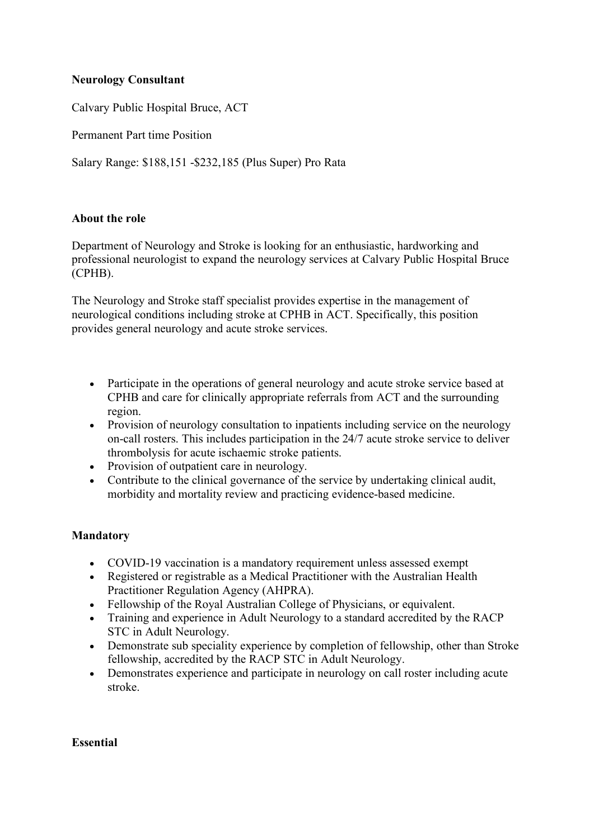## **Neurology Consultant**

Calvary Public Hospital Bruce, ACT

Permanent Part time Position

Salary Range: \$188,151 -\$232,185 (Plus Super) Pro Rata

## **About the role**

Department of Neurology and Stroke is looking for an enthusiastic, hardworking and professional neurologist to expand the neurology services at Calvary Public Hospital Bruce (CPHB).

The Neurology and Stroke staff specialist provides expertise in the management of neurological conditions including stroke at CPHB in ACT. Specifically, this position provides general neurology and acute stroke services.

- Participate in the operations of general neurology and acute stroke service based at CPHB and care for clinically appropriate referrals from ACT and the surrounding region.
- Provision of neurology consultation to inpatients including service on the neurology on-call rosters. This includes participation in the 24/7 acute stroke service to deliver thrombolysis for acute ischaemic stroke patients.
- Provision of outpatient care in neurology.
- Contribute to the clinical governance of the service by undertaking clinical audit, morbidity and mortality review and practicing evidence-based medicine.

## **Mandatory**

- COVID-19 vaccination is a mandatory requirement unless assessed exempt
- Registered or registrable as a Medical Practitioner with the Australian Health Practitioner Regulation Agency (AHPRA).
- Fellowship of the Royal Australian College of Physicians, or equivalent.
- Training and experience in Adult Neurology to a standard accredited by the RACP STC in Adult Neurology.
- Demonstrate sub speciality experience by completion of fellowship, other than Stroke fellowship, accredited by the RACP STC in Adult Neurology.
- Demonstrates experience and participate in neurology on call roster including acute stroke.

#### **Essential**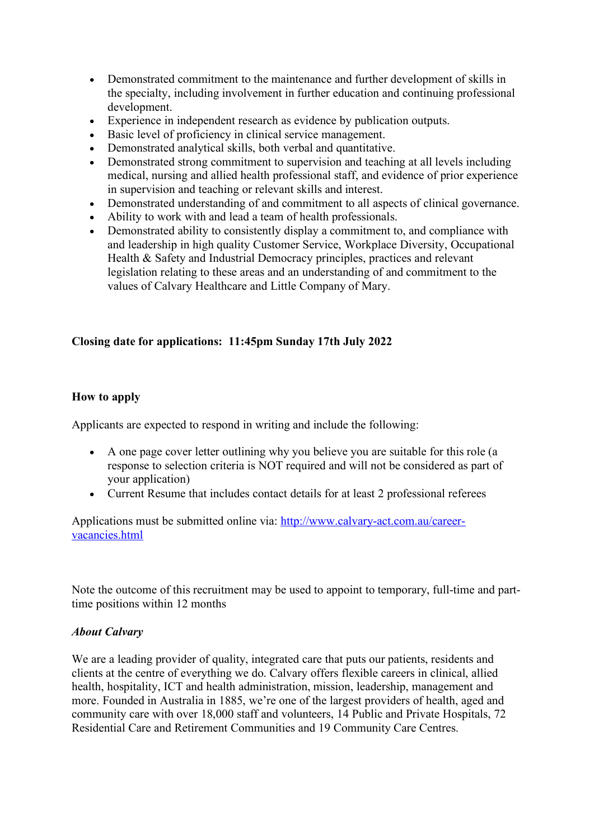- Demonstrated commitment to the maintenance and further development of skills in the specialty, including involvement in further education and continuing professional development.
- Experience in independent research as evidence by publication outputs.
- Basic level of proficiency in clinical service management.
- Demonstrated analytical skills, both verbal and quantitative.
- Demonstrated strong commitment to supervision and teaching at all levels including medical, nursing and allied health professional staff, and evidence of prior experience in supervision and teaching or relevant skills and interest.
- Demonstrated understanding of and commitment to all aspects of clinical governance.
- Ability to work with and lead a team of health professionals.
- Demonstrated ability to consistently display a commitment to, and compliance with and leadership in high quality Customer Service, Workplace Diversity, Occupational Health & Safety and Industrial Democracy principles, practices and relevant legislation relating to these areas and an understanding of and commitment to the values of Calvary Healthcare and Little Company of Mary.

# **Closing date for applications: 11:45pm Sunday 17th July 2022**

# **How to apply**

Applicants are expected to respond in writing and include the following:

- A one page cover letter outlining why you believe you are suitable for this role (a response to selection criteria is NOT required and will not be considered as part of your application)
- Current Resume that includes contact details for at least 2 professional referees

Applications must be submitted online via: http://www.calvary-act.com.au/careervacancies.html

Note the outcome of this recruitment may be used to appoint to temporary, full-time and parttime positions within 12 months

## *About Calvary*

We are a leading provider of quality, integrated care that puts our patients, residents and clients at the centre of everything we do. Calvary offers flexible careers in clinical, allied health, hospitality, ICT and health administration, mission, leadership, management and more. Founded in Australia in 1885, we're one of the largest providers of health, aged and community care with over 18,000 staff and volunteers, 14 Public and Private Hospitals, 72 Residential Care and Retirement Communities and 19 Community Care Centres.